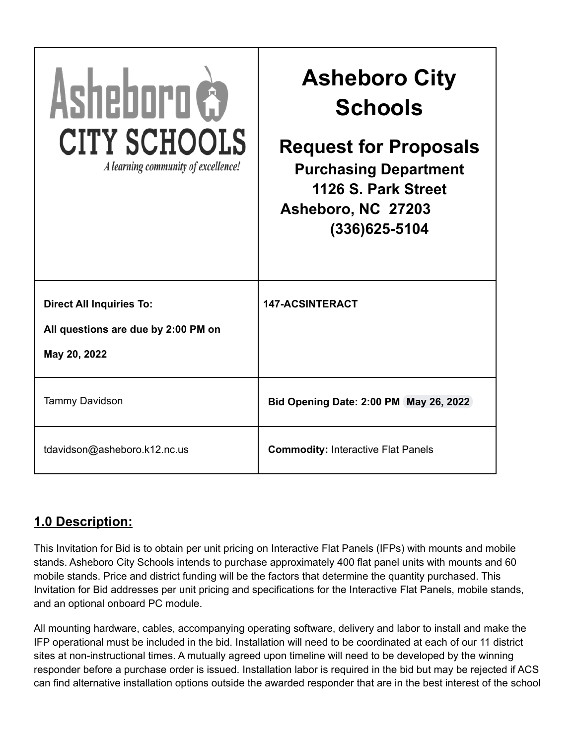| Asheboro &<br><b>CITY SCHOOLS</b><br>A learning community of excellence!               | <b>Asheboro City</b><br><b>Schools</b><br><b>Request for Proposals</b><br><b>Purchasing Department</b><br>1126 S. Park Street<br>Asheboro, NC 27203<br>(336)625-5104 |
|----------------------------------------------------------------------------------------|----------------------------------------------------------------------------------------------------------------------------------------------------------------------|
| <b>Direct All Inquiries To:</b><br>All questions are due by 2:00 PM on<br>May 20, 2022 | <b>147-ACSINTERACT</b>                                                                                                                                               |
| <b>Tammy Davidson</b>                                                                  | Bid Opening Date: 2:00 PM May 26, 2022                                                                                                                               |
| tdavidson@asheboro.k12.nc.us                                                           | <b>Commodity: Interactive Flat Panels</b>                                                                                                                            |

# **1.0 Description:**

This Invitation for Bid is to obtain per unit pricing on Interactive Flat Panels (IFPs) with mounts and mobile stands. Asheboro City Schools intends to purchase approximately 400 flat panel units with mounts and 60 mobile stands. Price and district funding will be the factors that determine the quantity purchased. This Invitation for Bid addresses per unit pricing and specifications for the Interactive Flat Panels, mobile stands, and an optional onboard PC module.

All mounting hardware, cables, accompanying operating software, delivery and labor to install and make the IFP operational must be included in the bid. Installation will need to be coordinated at each of our 11 district sites at non-instructional times. A mutually agreed upon timeline will need to be developed by the winning responder before a purchase order is issued. Installation labor is required in the bid but may be rejected if ACS can find alternative installation options outside the awarded responder that are in the best interest of the school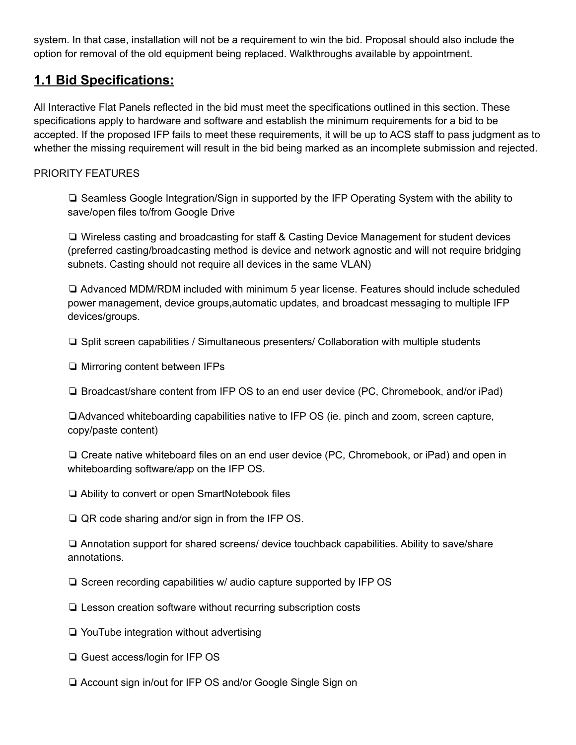system. In that case, installation will not be a requirement to win the bid. Proposal should also include the option for removal of the old equipment being replaced. Walkthroughs available by appointment.

# **1.1 Bid Specifications:**

All Interactive Flat Panels reflected in the bid must meet the specifications outlined in this section. These specifications apply to hardware and software and establish the minimum requirements for a bid to be accepted. If the proposed IFP fails to meet these requirements, it will be up to ACS staff to pass judgment as to whether the missing requirement will result in the bid being marked as an incomplete submission and rejected.

# PRIORITY FEATURES

❏ Seamless Google Integration/Sign in supported by the IFP Operating System with the ability to save/open files to/from Google Drive

❏ Wireless casting and broadcasting for staff & Casting Device Management for student devices (preferred casting/broadcasting method is device and network agnostic and will not require bridging subnets. Casting should not require all devices in the same VLAN)

❏ Advanced MDM/RDM included with minimum 5 year license. Features should include scheduled power management, device groups,automatic updates, and broadcast messaging to multiple IFP devices/groups.

❏ Split screen capabilities / Simultaneous presenters/ Collaboration with multiple students

❏ Mirroring content between IFPs

❏ Broadcast/share content from IFP OS to an end user device (PC, Chromebook, and/or iPad)

❏Advanced whiteboarding capabilities native to IFP OS (ie. pinch and zoom, screen capture, copy/paste content)

❏ Create native whiteboard files on an end user device (PC, Chromebook, or iPad) and open in whiteboarding software/app on the IFP OS.

❏ Ability to convert or open SmartNotebook files

❏ QR code sharing and/or sign in from the IFP OS.

❏ Annotation support for shared screens/ device touchback capabilities. Ability to save/share annotations.

❏ Screen recording capabilities w/ audio capture supported by IFP OS

❏ Lesson creation software without recurring subscription costs

❏ YouTube integration without advertising

❏ Guest access/login for IFP OS

❏ Account sign in/out for IFP OS and/or Google Single Sign on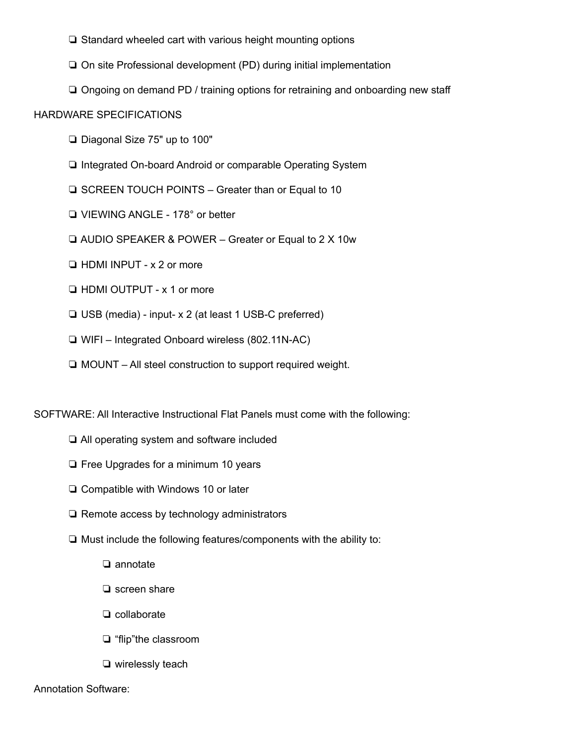❏ Standard wheeled cart with various height mounting options

❏ On site Professional development (PD) during initial implementation

❏ Ongoing on demand PD / training options for retraining and onboarding new staff

#### HARDWARE SPECIFICATIONS

- ❏ Diagonal Size 75" up to 100"
- ❏ Integrated On-board Android or comparable Operating System
- ❏ SCREEN TOUCH POINTS Greater than or Equal to 10
- ❏ VIEWING ANGLE 178° or better
- ❏ AUDIO SPEAKER & POWER Greater or Equal to 2 X 10w
- ❏ HDMI INPUT x 2 or more
- ❏ HDMI OUTPUT x 1 or more
- ❏ USB (media) input- x 2 (at least 1 USB-C preferred)
- ❏ WIFI Integrated Onboard wireless (802.11N-AC)
- ❏ MOUNT All steel construction to support required weight.

SOFTWARE: All Interactive Instructional Flat Panels must come with the following:

- ❏ All operating system and software included
- ❏ Free Upgrades for a minimum 10 years
- ❏ Compatible with Windows 10 or later
- ❏ Remote access by technology administrators
- ❏ Must include the following features/components with the ability to:
	- ❏ annotate
	- ❏ screen share
	- ❏ collaborate
	- ❏ "flip"the classroom
	- ❏ wirelessly teach

## Annotation Software: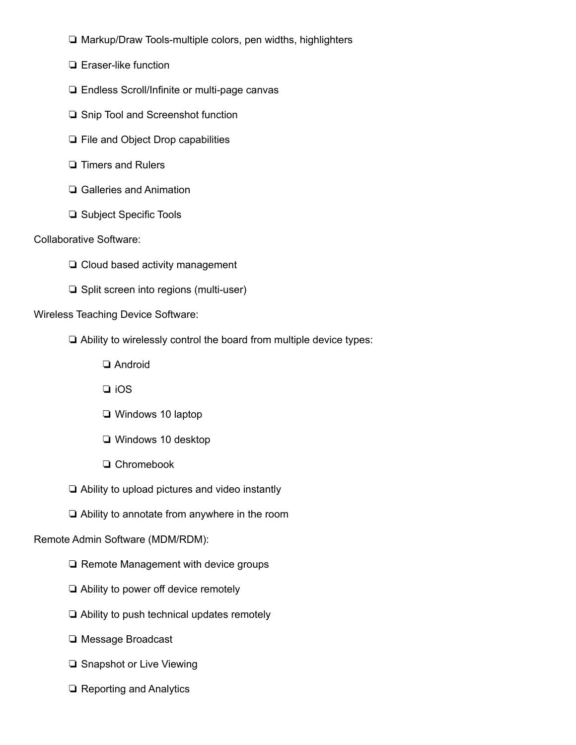- ❏ Markup/Draw Tools-multiple colors, pen widths, highlighters
- ❏ Eraser-like function
- ❏ Endless Scroll/Infinite or multi-page canvas
- ❏ Snip Tool and Screenshot function
- ❏ File and Object Drop capabilities
- ❏ Timers and Rulers
- ❏ Galleries and Animation
- ❏ Subject Specific Tools

#### Collaborative Software:

- ❏ Cloud based activity management
- ❏ Split screen into regions (multi-user)

#### Wireless Teaching Device Software:

- ❏ Ability to wirelessly control the board from multiple device types:
	- ❏ Android
	- ❏ iOS
	- ❏ Windows 10 laptop
	- ❏ Windows 10 desktop
	- ❏ Chromebook
- ❏ Ability to upload pictures and video instantly
- ❏ Ability to annotate from anywhere in the room

#### Remote Admin Software (MDM/RDM):

- ❏ Remote Management with device groups
- ❏ Ability to power off device remotely
- ❏ Ability to push technical updates remotely
- ❏ Message Broadcast
- ❏ Snapshot or Live Viewing
- ❏ Reporting and Analytics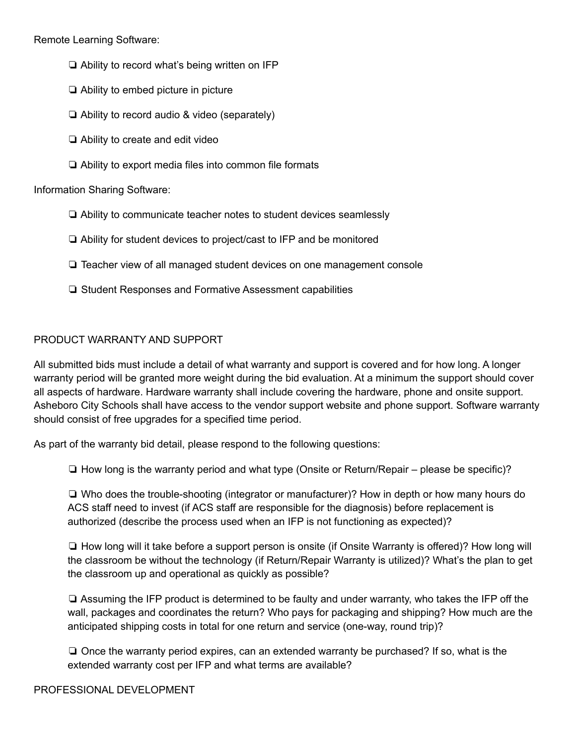Remote Learning Software:

- ❏ Ability to record what's being written on IFP
- ❏ Ability to embed picture in picture
- ❏ Ability to record audio & video (separately)
- ❏ Ability to create and edit video
- ❏ Ability to export media files into common file formats

Information Sharing Software:

- ❏ Ability to communicate teacher notes to student devices seamlessly
- ❏ Ability for student devices to project/cast to IFP and be monitored
- ❏ Teacher view of all managed student devices on one management console
- ❏ Student Responses and Formative Assessment capabilities

# PRODUCT WARRANTY AND SUPPORT

All submitted bids must include a detail of what warranty and support is covered and for how long. A longer warranty period will be granted more weight during the bid evaluation. At a minimum the support should cover all aspects of hardware. Hardware warranty shall include covering the hardware, phone and onsite support. Asheboro City Schools shall have access to the vendor support website and phone support. Software warranty should consist of free upgrades for a specified time period.

As part of the warranty bid detail, please respond to the following questions:

❏ How long is the warranty period and what type (Onsite or Return/Repair – please be specific)?

❏ Who does the trouble-shooting (integrator or manufacturer)? How in depth or how many hours do ACS staff need to invest (if ACS staff are responsible for the diagnosis) before replacement is authorized (describe the process used when an IFP is not functioning as expected)?

❏ How long will it take before a support person is onsite (if Onsite Warranty is offered)? How long will the classroom be without the technology (if Return/Repair Warranty is utilized)? What's the plan to get the classroom up and operational as quickly as possible?

❏ Assuming the IFP product is determined to be faulty and under warranty, who takes the IFP off the wall, packages and coordinates the return? Who pays for packaging and shipping? How much are the anticipated shipping costs in total for one return and service (one-way, round trip)?

❏ Once the warranty period expires, can an extended warranty be purchased? If so, what is the extended warranty cost per IFP and what terms are available?

PROFESSIONAL DEVELOPMENT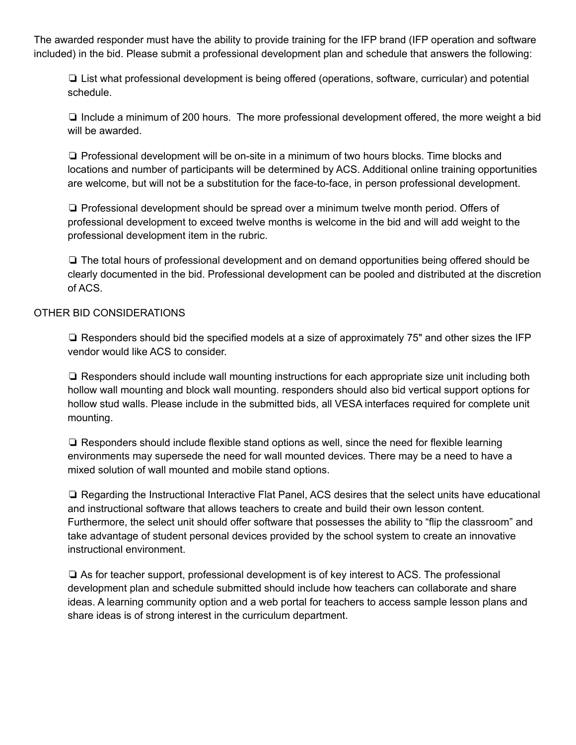The awarded responder must have the ability to provide training for the IFP brand (IFP operation and software included) in the bid. Please submit a professional development plan and schedule that answers the following:

❏ List what professional development is being offered (operations, software, curricular) and potential schedule.

❏ Include a minimum of 200 hours. The more professional development offered, the more weight a bid will be awarded.

❏ Professional development will be on-site in a minimum of two hours blocks. Time blocks and locations and number of participants will be determined by ACS. Additional online training opportunities are welcome, but will not be a substitution for the face-to-face, in person professional development.

❏ Professional development should be spread over a minimum twelve month period. Offers of professional development to exceed twelve months is welcome in the bid and will add weight to the professional development item in the rubric.

❏ The total hours of professional development and on demand opportunities being offered should be clearly documented in the bid. Professional development can be pooled and distributed at the discretion of ACS.

#### OTHER BID CONSIDERATIONS

❏ Responders should bid the specified models at a size of approximately 75" and other sizes the IFP vendor would like ACS to consider.

❏ Responders should include wall mounting instructions for each appropriate size unit including both hollow wall mounting and block wall mounting. responders should also bid vertical support options for hollow stud walls. Please include in the submitted bids, all VESA interfaces required for complete unit mounting.

❏ Responders should include flexible stand options as well, since the need for flexible learning environments may supersede the need for wall mounted devices. There may be a need to have a mixed solution of wall mounted and mobile stand options.

❏ Regarding the Instructional Interactive Flat Panel, ACS desires that the select units have educational and instructional software that allows teachers to create and build their own lesson content. Furthermore, the select unit should offer software that possesses the ability to "flip the classroom" and take advantage of student personal devices provided by the school system to create an innovative instructional environment.

❏ As for teacher support, professional development is of key interest to ACS. The professional development plan and schedule submitted should include how teachers can collaborate and share ideas. A learning community option and a web portal for teachers to access sample lesson plans and share ideas is of strong interest in the curriculum department.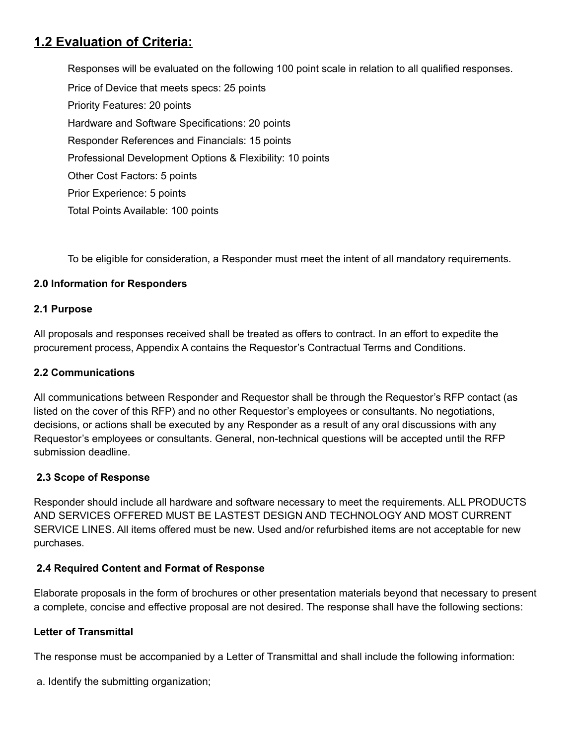# **1.2 Evaluation of Criteria:**

Responses will be evaluated on the following 100 point scale in relation to all qualified responses. Price of Device that meets specs: 25 points Priority Features: 20 points Hardware and Software Specifications: 20 points Responder References and Financials: 15 points Professional Development Options & Flexibility: 10 points Other Cost Factors: 5 points Prior Experience: 5 points Total Points Available: 100 points

To be eligible for consideration, a Responder must meet the intent of all mandatory requirements.

## **2.0 Information for Responders**

#### **2.1 Purpose**

All proposals and responses received shall be treated as offers to contract. In an effort to expedite the procurement process, Appendix A contains the Requestor's Contractual Terms and Conditions.

#### **2.2 Communications**

All communications between Responder and Requestor shall be through the Requestor's RFP contact (as listed on the cover of this RFP) and no other Requestor's employees or consultants. No negotiations, decisions, or actions shall be executed by any Responder as a result of any oral discussions with any Requestor's employees or consultants. General, non-technical questions will be accepted until the RFP submission deadline.

## **2.3 Scope of Response**

Responder should include all hardware and software necessary to meet the requirements. ALL PRODUCTS AND SERVICES OFFERED MUST BE LASTEST DESIGN AND TECHNOLOGY AND MOST CURRENT SERVICE LINES. All items offered must be new. Used and/or refurbished items are not acceptable for new purchases.

## **2.4 Required Content and Format of Response**

Elaborate proposals in the form of brochures or other presentation materials beyond that necessary to present a complete, concise and effective proposal are not desired. The response shall have the following sections:

## **Letter of Transmittal**

The response must be accompanied by a Letter of Transmittal and shall include the following information:

a. Identify the submitting organization;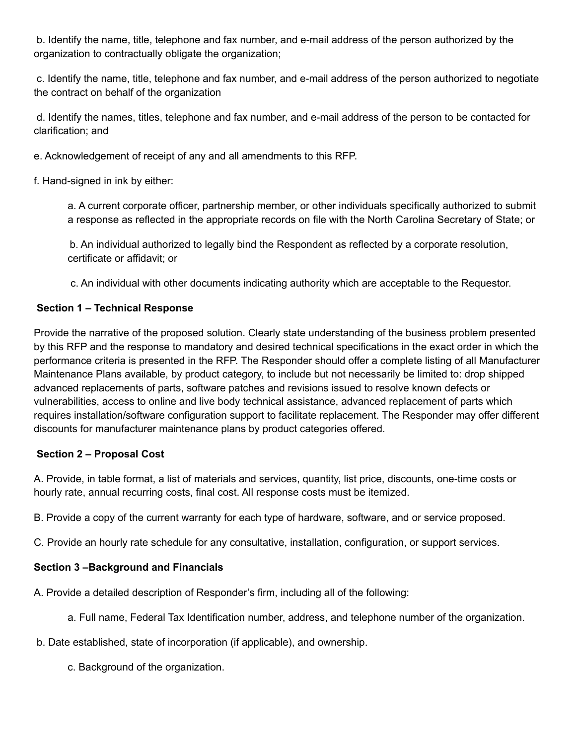b. Identify the name, title, telephone and fax number, and e-mail address of the person authorized by the organization to contractually obligate the organization;

c. Identify the name, title, telephone and fax number, and e-mail address of the person authorized to negotiate the contract on behalf of the organization

d. Identify the names, titles, telephone and fax number, and e-mail address of the person to be contacted for clarification; and

e. Acknowledgement of receipt of any and all amendments to this RFP.

f. Hand-signed in ink by either:

a. A current corporate officer, partnership member, or other individuals specifically authorized to submit a response as reflected in the appropriate records on file with the North Carolina Secretary of State; or

b. An individual authorized to legally bind the Respondent as reflected by a corporate resolution, certificate or affidavit; or

c. An individual with other documents indicating authority which are acceptable to the Requestor.

# **Section 1 – Technical Response**

Provide the narrative of the proposed solution. Clearly state understanding of the business problem presented by this RFP and the response to mandatory and desired technical specifications in the exact order in which the performance criteria is presented in the RFP. The Responder should offer a complete listing of all Manufacturer Maintenance Plans available, by product category, to include but not necessarily be limited to: drop shipped advanced replacements of parts, software patches and revisions issued to resolve known defects or vulnerabilities, access to online and live body technical assistance, advanced replacement of parts which requires installation/software configuration support to facilitate replacement. The Responder may offer different discounts for manufacturer maintenance plans by product categories offered.

## **Section 2 – Proposal Cost**

A. Provide, in table format, a list of materials and services, quantity, list price, discounts, one-time costs or hourly rate, annual recurring costs, final cost. All response costs must be itemized.

B. Provide a copy of the current warranty for each type of hardware, software, and or service proposed.

C. Provide an hourly rate schedule for any consultative, installation, configuration, or support services.

# **Section 3 –Background and Financials**

A. Provide a detailed description of Responder's firm, including all of the following:

- a. Full name, Federal Tax Identification number, address, and telephone number of the organization.
- b. Date established, state of incorporation (if applicable), and ownership.
	- c. Background of the organization.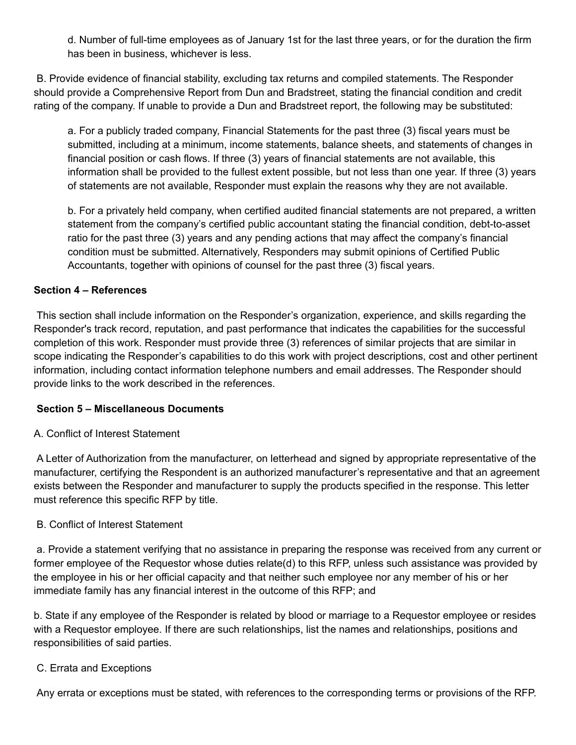d. Number of full-time employees as of January 1st for the last three years, or for the duration the firm has been in business, whichever is less.

B. Provide evidence of financial stability, excluding tax returns and compiled statements. The Responder should provide a Comprehensive Report from Dun and Bradstreet, stating the financial condition and credit rating of the company. If unable to provide a Dun and Bradstreet report, the following may be substituted:

a. For a publicly traded company, Financial Statements for the past three (3) fiscal years must be submitted, including at a minimum, income statements, balance sheets, and statements of changes in financial position or cash flows. If three (3) years of financial statements are not available, this information shall be provided to the fullest extent possible, but not less than one year. If three (3) years of statements are not available, Responder must explain the reasons why they are not available.

b. For a privately held company, when certified audited financial statements are not prepared, a written statement from the company's certified public accountant stating the financial condition, debt-to-asset ratio for the past three (3) years and any pending actions that may affect the company's financial condition must be submitted. Alternatively, Responders may submit opinions of Certified Public Accountants, together with opinions of counsel for the past three (3) fiscal years.

#### **Section 4 – References**

This section shall include information on the Responder's organization, experience, and skills regarding the Responder's track record, reputation, and past performance that indicates the capabilities for the successful completion of this work. Responder must provide three (3) references of similar projects that are similar in scope indicating the Responder's capabilities to do this work with project descriptions, cost and other pertinent information, including contact information telephone numbers and email addresses. The Responder should provide links to the work described in the references.

#### **Section 5 – Miscellaneous Documents**

## A. Conflict of Interest Statement

A Letter of Authorization from the manufacturer, on letterhead and signed by appropriate representative of the manufacturer, certifying the Respondent is an authorized manufacturer's representative and that an agreement exists between the Responder and manufacturer to supply the products specified in the response. This letter must reference this specific RFP by title.

## B. Conflict of Interest Statement

a. Provide a statement verifying that no assistance in preparing the response was received from any current or former employee of the Requestor whose duties relate(d) to this RFP, unless such assistance was provided by the employee in his or her official capacity and that neither such employee nor any member of his or her immediate family has any financial interest in the outcome of this RFP; and

b. State if any employee of the Responder is related by blood or marriage to a Requestor employee or resides with a Requestor employee. If there are such relationships, list the names and relationships, positions and responsibilities of said parties.

## C. Errata and Exceptions

Any errata or exceptions must be stated, with references to the corresponding terms or provisions of the RFP.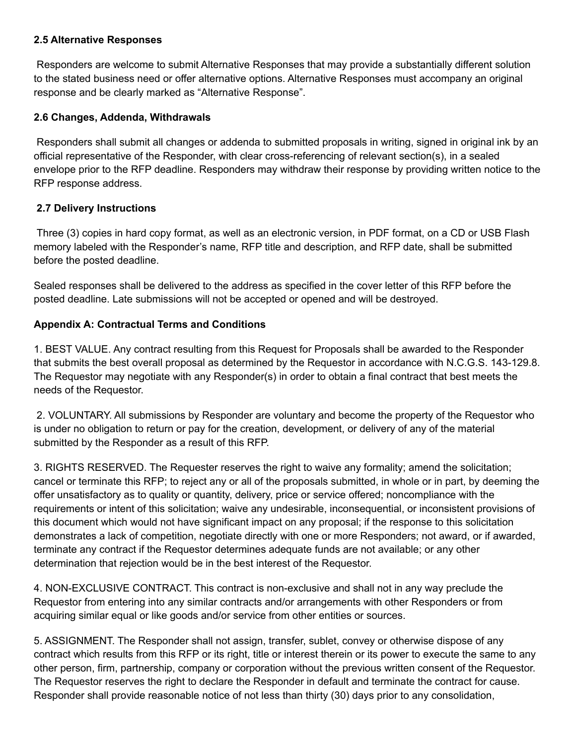#### **2.5 Alternative Responses**

Responders are welcome to submit Alternative Responses that may provide a substantially different solution to the stated business need or offer alternative options. Alternative Responses must accompany an original response and be clearly marked as "Alternative Response".

#### **2.6 Changes, Addenda, Withdrawals**

Responders shall submit all changes or addenda to submitted proposals in writing, signed in original ink by an official representative of the Responder, with clear cross-referencing of relevant section(s), in a sealed envelope prior to the RFP deadline. Responders may withdraw their response by providing written notice to the RFP response address.

#### **2.7 Delivery Instructions**

Three (3) copies in hard copy format, as well as an electronic version, in PDF format, on a CD or USB Flash memory labeled with the Responder's name, RFP title and description, and RFP date, shall be submitted before the posted deadline.

Sealed responses shall be delivered to the address as specified in the cover letter of this RFP before the posted deadline. Late submissions will not be accepted or opened and will be destroyed.

## **Appendix A: Contractual Terms and Conditions**

1. BEST VALUE. Any contract resulting from this Request for Proposals shall be awarded to the Responder that submits the best overall proposal as determined by the Requestor in accordance with N.C.G.S. 143-129.8. The Requestor may negotiate with any Responder(s) in order to obtain a final contract that best meets the needs of the Requestor.

2. VOLUNTARY. All submissions by Responder are voluntary and become the property of the Requestor who is under no obligation to return or pay for the creation, development, or delivery of any of the material submitted by the Responder as a result of this RFP.

3. RIGHTS RESERVED. The Requester reserves the right to waive any formality; amend the solicitation; cancel or terminate this RFP; to reject any or all of the proposals submitted, in whole or in part, by deeming the offer unsatisfactory as to quality or quantity, delivery, price or service offered; noncompliance with the requirements or intent of this solicitation; waive any undesirable, inconsequential, or inconsistent provisions of this document which would not have significant impact on any proposal; if the response to this solicitation demonstrates a lack of competition, negotiate directly with one or more Responders; not award, or if awarded, terminate any contract if the Requestor determines adequate funds are not available; or any other determination that rejection would be in the best interest of the Requestor.

4. NON-EXCLUSIVE CONTRACT. This contract is non-exclusive and shall not in any way preclude the Requestor from entering into any similar contracts and/or arrangements with other Responders or from acquiring similar equal or like goods and/or service from other entities or sources.

5. ASSIGNMENT. The Responder shall not assign, transfer, sublet, convey or otherwise dispose of any contract which results from this RFP or its right, title or interest therein or its power to execute the same to any other person, firm, partnership, company or corporation without the previous written consent of the Requestor. The Requestor reserves the right to declare the Responder in default and terminate the contract for cause. Responder shall provide reasonable notice of not less than thirty (30) days prior to any consolidation,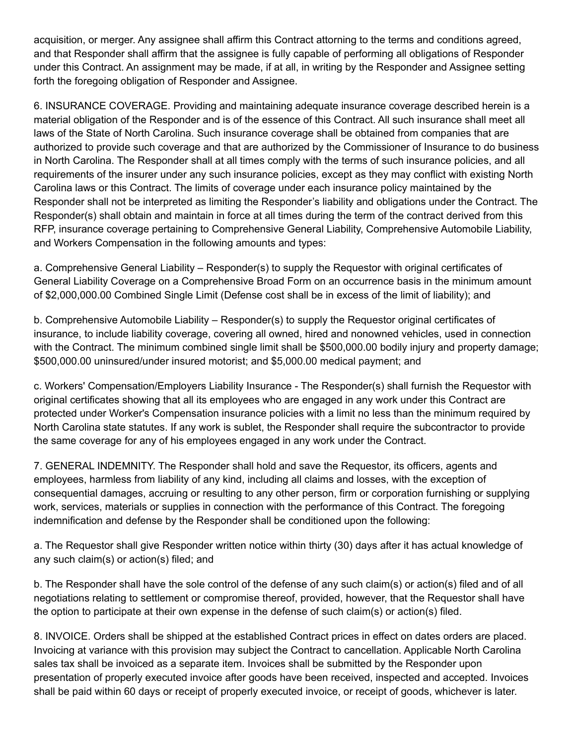acquisition, or merger. Any assignee shall affirm this Contract attorning to the terms and conditions agreed, and that Responder shall affirm that the assignee is fully capable of performing all obligations of Responder under this Contract. An assignment may be made, if at all, in writing by the Responder and Assignee setting forth the foregoing obligation of Responder and Assignee.

6. INSURANCE COVERAGE. Providing and maintaining adequate insurance coverage described herein is a material obligation of the Responder and is of the essence of this Contract. All such insurance shall meet all laws of the State of North Carolina. Such insurance coverage shall be obtained from companies that are authorized to provide such coverage and that are authorized by the Commissioner of Insurance to do business in North Carolina. The Responder shall at all times comply with the terms of such insurance policies, and all requirements of the insurer under any such insurance policies, except as they may conflict with existing North Carolina laws or this Contract. The limits of coverage under each insurance policy maintained by the Responder shall not be interpreted as limiting the Responder's liability and obligations under the Contract. The Responder(s) shall obtain and maintain in force at all times during the term of the contract derived from this RFP, insurance coverage pertaining to Comprehensive General Liability, Comprehensive Automobile Liability, and Workers Compensation in the following amounts and types:

a. Comprehensive General Liability – Responder(s) to supply the Requestor with original certificates of General Liability Coverage on a Comprehensive Broad Form on an occurrence basis in the minimum amount of \$2,000,000.00 Combined Single Limit (Defense cost shall be in excess of the limit of liability); and

b. Comprehensive Automobile Liability – Responder(s) to supply the Requestor original certificates of insurance, to include liability coverage, covering all owned, hired and nonowned vehicles, used in connection with the Contract. The minimum combined single limit shall be \$500,000.00 bodily injury and property damage; \$500,000.00 uninsured/under insured motorist; and \$5,000.00 medical payment; and

c. Workers' Compensation/Employers Liability Insurance - The Responder(s) shall furnish the Requestor with original certificates showing that all its employees who are engaged in any work under this Contract are protected under Worker's Compensation insurance policies with a limit no less than the minimum required by North Carolina state statutes. If any work is sublet, the Responder shall require the subcontractor to provide the same coverage for any of his employees engaged in any work under the Contract.

7. GENERAL INDEMNITY. The Responder shall hold and save the Requestor, its officers, agents and employees, harmless from liability of any kind, including all claims and losses, with the exception of consequential damages, accruing or resulting to any other person, firm or corporation furnishing or supplying work, services, materials or supplies in connection with the performance of this Contract. The foregoing indemnification and defense by the Responder shall be conditioned upon the following:

a. The Requestor shall give Responder written notice within thirty (30) days after it has actual knowledge of any such claim(s) or action(s) filed; and

b. The Responder shall have the sole control of the defense of any such claim(s) or action(s) filed and of all negotiations relating to settlement or compromise thereof, provided, however, that the Requestor shall have the option to participate at their own expense in the defense of such claim(s) or action(s) filed.

8. INVOICE. Orders shall be shipped at the established Contract prices in effect on dates orders are placed. Invoicing at variance with this provision may subject the Contract to cancellation. Applicable North Carolina sales tax shall be invoiced as a separate item. Invoices shall be submitted by the Responder upon presentation of properly executed invoice after goods have been received, inspected and accepted. Invoices shall be paid within 60 days or receipt of properly executed invoice, or receipt of goods, whichever is later.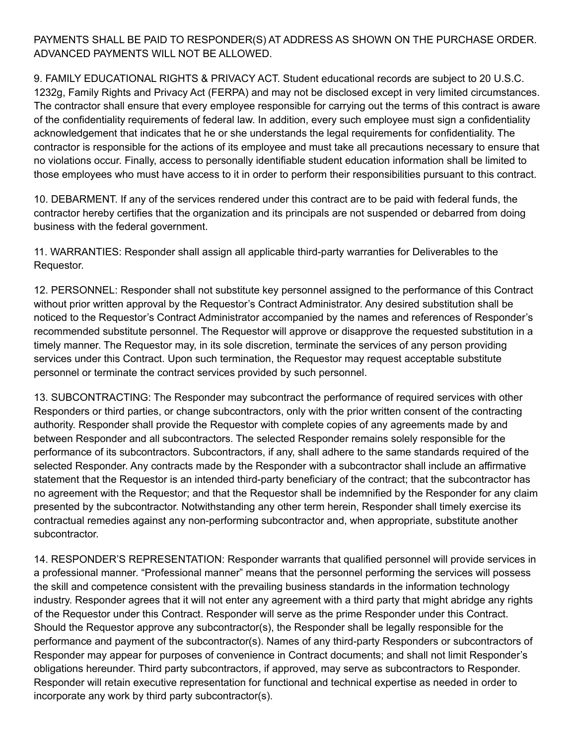## PAYMENTS SHALL BE PAID TO RESPONDER(S) AT ADDRESS AS SHOWN ON THE PURCHASE ORDER. ADVANCED PAYMENTS WILL NOT BE ALLOWED.

9. FAMILY EDUCATIONAL RIGHTS & PRIVACY ACT. Student educational records are subject to 20 U.S.C. 1232g, Family Rights and Privacy Act (FERPA) and may not be disclosed except in very limited circumstances. The contractor shall ensure that every employee responsible for carrying out the terms of this contract is aware of the confidentiality requirements of federal law. In addition, every such employee must sign a confidentiality acknowledgement that indicates that he or she understands the legal requirements for confidentiality. The contractor is responsible for the actions of its employee and must take all precautions necessary to ensure that no violations occur. Finally, access to personally identifiable student education information shall be limited to those employees who must have access to it in order to perform their responsibilities pursuant to this contract.

10. DEBARMENT. If any of the services rendered under this contract are to be paid with federal funds, the contractor hereby certifies that the organization and its principals are not suspended or debarred from doing business with the federal government.

11. WARRANTIES: Responder shall assign all applicable third-party warranties for Deliverables to the Requestor.

12. PERSONNEL: Responder shall not substitute key personnel assigned to the performance of this Contract without prior written approval by the Requestor's Contract Administrator. Any desired substitution shall be noticed to the Requestor's Contract Administrator accompanied by the names and references of Responder's recommended substitute personnel. The Requestor will approve or disapprove the requested substitution in a timely manner. The Requestor may, in its sole discretion, terminate the services of any person providing services under this Contract. Upon such termination, the Requestor may request acceptable substitute personnel or terminate the contract services provided by such personnel.

13. SUBCONTRACTING: The Responder may subcontract the performance of required services with other Responders or third parties, or change subcontractors, only with the prior written consent of the contracting authority. Responder shall provide the Requestor with complete copies of any agreements made by and between Responder and all subcontractors. The selected Responder remains solely responsible for the performance of its subcontractors. Subcontractors, if any, shall adhere to the same standards required of the selected Responder. Any contracts made by the Responder with a subcontractor shall include an affirmative statement that the Requestor is an intended third-party beneficiary of the contract; that the subcontractor has no agreement with the Requestor; and that the Requestor shall be indemnified by the Responder for any claim presented by the subcontractor. Notwithstanding any other term herein, Responder shall timely exercise its contractual remedies against any non-performing subcontractor and, when appropriate, substitute another subcontractor.

14. RESPONDER'S REPRESENTATION: Responder warrants that qualified personnel will provide services in a professional manner. "Professional manner" means that the personnel performing the services will possess the skill and competence consistent with the prevailing business standards in the information technology industry. Responder agrees that it will not enter any agreement with a third party that might abridge any rights of the Requestor under this Contract. Responder will serve as the prime Responder under this Contract. Should the Requestor approve any subcontractor(s), the Responder shall be legally responsible for the performance and payment of the subcontractor(s). Names of any third-party Responders or subcontractors of Responder may appear for purposes of convenience in Contract documents; and shall not limit Responder's obligations hereunder. Third party subcontractors, if approved, may serve as subcontractors to Responder. Responder will retain executive representation for functional and technical expertise as needed in order to incorporate any work by third party subcontractor(s).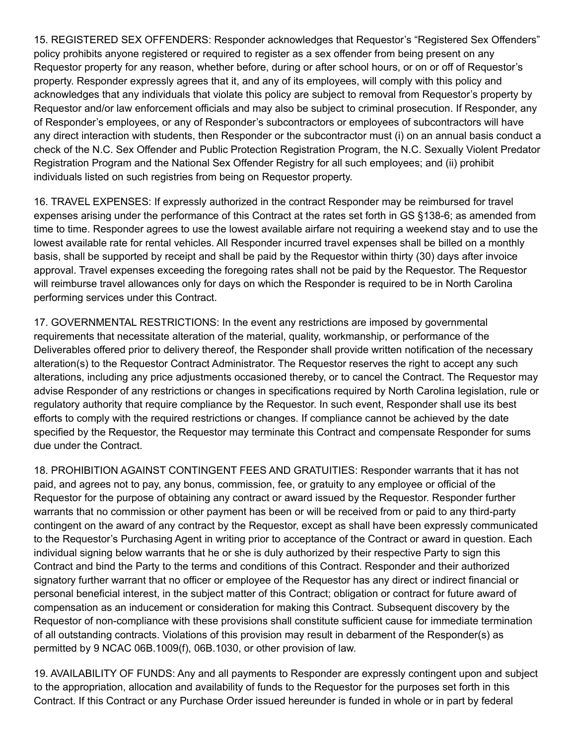15. REGISTERED SEX OFFENDERS: Responder acknowledges that Requestor's "Registered Sex Offenders" policy prohibits anyone registered or required to register as a sex offender from being present on any Requestor property for any reason, whether before, during or after school hours, or on or off of Requestor's property. Responder expressly agrees that it, and any of its employees, will comply with this policy and acknowledges that any individuals that violate this policy are subject to removal from Requestor's property by Requestor and/or law enforcement officials and may also be subject to criminal prosecution. If Responder, any of Responder's employees, or any of Responder's subcontractors or employees of subcontractors will have any direct interaction with students, then Responder or the subcontractor must (i) on an annual basis conduct a check of the N.C. Sex Offender and Public Protection Registration Program, the N.C. Sexually Violent Predator Registration Program and the National Sex Offender Registry for all such employees; and (ii) prohibit individuals listed on such registries from being on Requestor property.

16. TRAVEL EXPENSES: If expressly authorized in the contract Responder may be reimbursed for travel expenses arising under the performance of this Contract at the rates set forth in GS §138-6; as amended from time to time. Responder agrees to use the lowest available airfare not requiring a weekend stay and to use the lowest available rate for rental vehicles. All Responder incurred travel expenses shall be billed on a monthly basis, shall be supported by receipt and shall be paid by the Requestor within thirty (30) days after invoice approval. Travel expenses exceeding the foregoing rates shall not be paid by the Requestor. The Requestor will reimburse travel allowances only for days on which the Responder is required to be in North Carolina performing services under this Contract.

17. GOVERNMENTAL RESTRICTIONS: In the event any restrictions are imposed by governmental requirements that necessitate alteration of the material, quality, workmanship, or performance of the Deliverables offered prior to delivery thereof, the Responder shall provide written notification of the necessary alteration(s) to the Requestor Contract Administrator. The Requestor reserves the right to accept any such alterations, including any price adjustments occasioned thereby, or to cancel the Contract. The Requestor may advise Responder of any restrictions or changes in specifications required by North Carolina legislation, rule or regulatory authority that require compliance by the Requestor. In such event, Responder shall use its best efforts to comply with the required restrictions or changes. If compliance cannot be achieved by the date specified by the Requestor, the Requestor may terminate this Contract and compensate Responder for sums due under the Contract.

18. PROHIBITION AGAINST CONTINGENT FEES AND GRATUITIES: Responder warrants that it has not paid, and agrees not to pay, any bonus, commission, fee, or gratuity to any employee or official of the Requestor for the purpose of obtaining any contract or award issued by the Requestor. Responder further warrants that no commission or other payment has been or will be received from or paid to any third-party contingent on the award of any contract by the Requestor, except as shall have been expressly communicated to the Requestor's Purchasing Agent in writing prior to acceptance of the Contract or award in question. Each individual signing below warrants that he or she is duly authorized by their respective Party to sign this Contract and bind the Party to the terms and conditions of this Contract. Responder and their authorized signatory further warrant that no officer or employee of the Requestor has any direct or indirect financial or personal beneficial interest, in the subject matter of this Contract; obligation or contract for future award of compensation as an inducement or consideration for making this Contract. Subsequent discovery by the Requestor of non-compliance with these provisions shall constitute sufficient cause for immediate termination of all outstanding contracts. Violations of this provision may result in debarment of the Responder(s) as permitted by 9 NCAC 06B.1009(f), 06B.1030, or other provision of law.

19. AVAILABILITY OF FUNDS: Any and all payments to Responder are expressly contingent upon and subject to the appropriation, allocation and availability of funds to the Requestor for the purposes set forth in this Contract. If this Contract or any Purchase Order issued hereunder is funded in whole or in part by federal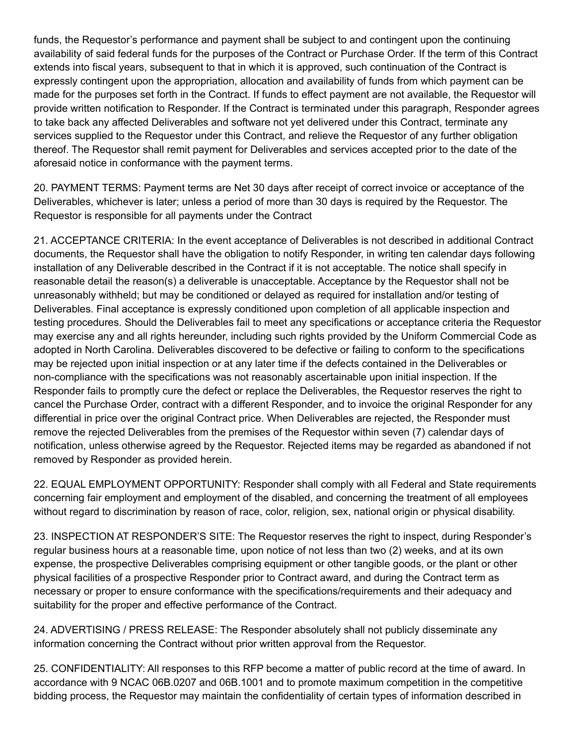funds, the Requestor's performance and payment shall be subject to and contingent upon the continuing availability of said federal funds for the purposes of the Contract or Purchase Order. If the term of this Contract extends into fiscal years, subsequent to that in which it is approved, such continuation of the Contract is expressly contingent upon the appropriation, allocation and availability of funds from which payment can be made for the purposes set forth in the Contract. If funds to effect payment are not available, the Requestor will provide written notification to Responder. If the Contract is terminated under this paragraph, Responder agrees to take back any affected Deliverables and software not yet delivered under this Contract, terminate any services supplied to the Requestor under this Contract, and relieve the Requestor of any further obligation thereof. The Requestor shall remit payment for Deliverables and services accepted prior to the date of the aforesaid notice in conformance with the payment terms.

20. PAYMENT TERMS: Payment terms are Net 30 days after receipt of correct invoice or acceptance of the Deliverables, whichever is later; unless a period of more than 30 days is required by the Requestor. The Requestor is responsible for all payments under the Contract

21. ACCEPTANCE CRITERIA: In the event acceptance of Deliverables is not described in additional Contract documents, the Requestor shall have the obligation to notify Responder, in writing ten calendar days following installation of any Deliverable described in the Contract if it is not acceptable. The notice shall specify in reasonable detail the reason(s) a deliverable is unacceptable. Acceptance by the Requestor shall not be unreasonably withheld; but may be conditioned or delayed as required for installation and/or testing of Deliverables. Final acceptance is expressly conditioned upon completion of all applicable inspection and testing procedures. Should the Deliverables fail to meet any specifications or acceptance criteria the Requestor may exercise any and all rights hereunder, including such rights provided by the Uniform Commercial Code as adopted in North Carolina. Deliverables discovered to be defective or failing to conform to the specifications may be rejected upon initial inspection or at any later time if the defects contained in the Deliverables or non-compliance with the specifications was not reasonably ascertainable upon initial inspection. If the Responder fails to promptly cure the defect or replace the Deliverables, the Requestor reserves the right to cancel the Purchase Order, contract with a different Responder, and to invoice the original Responder for any differential in price over the original Contract price. When Deliverables are rejected, the Responder must remove the rejected Deliverables from the premises of the Requestor within seven (7) calendar days of notification, unless otherwise agreed by the Requestor. Rejected items may be regarded as abandoned if not removed by Responder as provided herein.

22. EQUAL EMPLOYMENT OPPORTUNITY: Responder shall comply with all Federal and State requirements concerning fair employment and employment of the disabled, and concerning the treatment of all employees without regard to discrimination by reason of race, color, religion, sex, national origin or physical disability.

23. INSPECTION AT RESPONDER'S SITE: The Requestor reserves the right to inspect, during Responder's regular business hours at a reasonable time, upon notice of not less than two (2) weeks, and at its own expense, the prospective Deliverables comprising equipment or other tangible goods, or the plant or other physical facilities of a prospective Responder prior to Contract award, and during the Contract term as necessary or proper to ensure conformance with the specifications/requirements and their adequacy and suitability for the proper and effective performance of the Contract.

24. ADVERTISING / PRESS RELEASE: The Responder absolutely shall not publicly disseminate any information concerning the Contract without prior written approval from the Requestor.

25. CONFIDENTIALITY: All responses to this RFP become a matter of public record at the time of award. In accordance with 9 NCAC 06B.0207 and 06B.1001 and to promote maximum competition in the competitive bidding process, the Requestor may maintain the confidentiality of certain types of information described in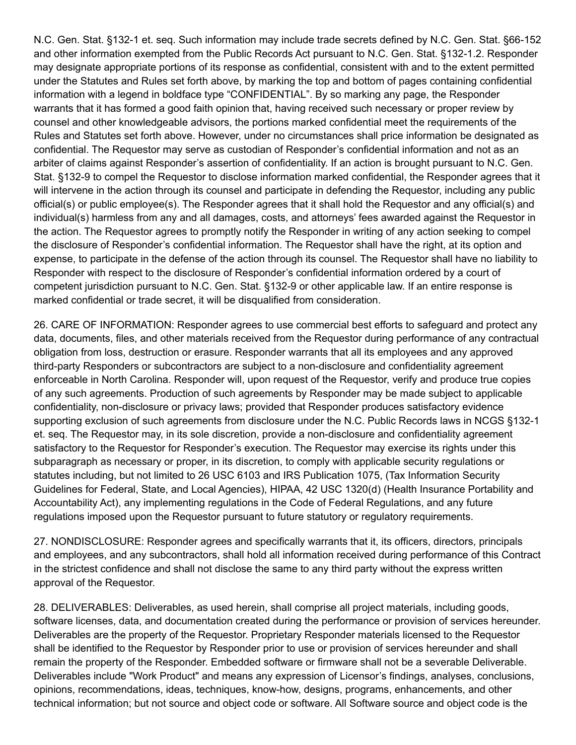N.C. Gen. Stat. §132-1 et. seq. Such information may include trade secrets defined by N.C. Gen. Stat. §66-152 and other information exempted from the Public Records Act pursuant to N.C. Gen. Stat. §132-1.2. Responder may designate appropriate portions of its response as confidential, consistent with and to the extent permitted under the Statutes and Rules set forth above, by marking the top and bottom of pages containing confidential information with a legend in boldface type "CONFIDENTIAL". By so marking any page, the Responder warrants that it has formed a good faith opinion that, having received such necessary or proper review by counsel and other knowledgeable advisors, the portions marked confidential meet the requirements of the Rules and Statutes set forth above. However, under no circumstances shall price information be designated as confidential. The Requestor may serve as custodian of Responder's confidential information and not as an arbiter of claims against Responder's assertion of confidentiality. If an action is brought pursuant to N.C. Gen. Stat. §132-9 to compel the Requestor to disclose information marked confidential, the Responder agrees that it will intervene in the action through its counsel and participate in defending the Requestor, including any public official(s) or public employee(s). The Responder agrees that it shall hold the Requestor and any official(s) and individual(s) harmless from any and all damages, costs, and attorneys' fees awarded against the Requestor in the action. The Requestor agrees to promptly notify the Responder in writing of any action seeking to compel the disclosure of Responder's confidential information. The Requestor shall have the right, at its option and expense, to participate in the defense of the action through its counsel. The Requestor shall have no liability to Responder with respect to the disclosure of Responder's confidential information ordered by a court of competent jurisdiction pursuant to N.C. Gen. Stat. §132-9 or other applicable law. If an entire response is marked confidential or trade secret, it will be disqualified from consideration.

26. CARE OF INFORMATION: Responder agrees to use commercial best efforts to safeguard and protect any data, documents, files, and other materials received from the Requestor during performance of any contractual obligation from loss, destruction or erasure. Responder warrants that all its employees and any approved third-party Responders or subcontractors are subject to a non-disclosure and confidentiality agreement enforceable in North Carolina. Responder will, upon request of the Requestor, verify and produce true copies of any such agreements. Production of such agreements by Responder may be made subject to applicable confidentiality, non-disclosure or privacy laws; provided that Responder produces satisfactory evidence supporting exclusion of such agreements from disclosure under the N.C. Public Records laws in NCGS §132-1 et. seq. The Requestor may, in its sole discretion, provide a non-disclosure and confidentiality agreement satisfactory to the Requestor for Responder's execution. The Requestor may exercise its rights under this subparagraph as necessary or proper, in its discretion, to comply with applicable security regulations or statutes including, but not limited to 26 USC 6103 and IRS Publication 1075, (Tax Information Security Guidelines for Federal, State, and Local Agencies), HIPAA, 42 USC 1320(d) (Health Insurance Portability and Accountability Act), any implementing regulations in the Code of Federal Regulations, and any future regulations imposed upon the Requestor pursuant to future statutory or regulatory requirements.

27. NONDISCLOSURE: Responder agrees and specifically warrants that it, its officers, directors, principals and employees, and any subcontractors, shall hold all information received during performance of this Contract in the strictest confidence and shall not disclose the same to any third party without the express written approval of the Requestor.

28. DELIVERABLES: Deliverables, as used herein, shall comprise all project materials, including goods, software licenses, data, and documentation created during the performance or provision of services hereunder. Deliverables are the property of the Requestor. Proprietary Responder materials licensed to the Requestor shall be identified to the Requestor by Responder prior to use or provision of services hereunder and shall remain the property of the Responder. Embedded software or firmware shall not be a severable Deliverable. Deliverables include "Work Product" and means any expression of Licensor's findings, analyses, conclusions, opinions, recommendations, ideas, techniques, know-how, designs, programs, enhancements, and other technical information; but not source and object code or software. All Software source and object code is the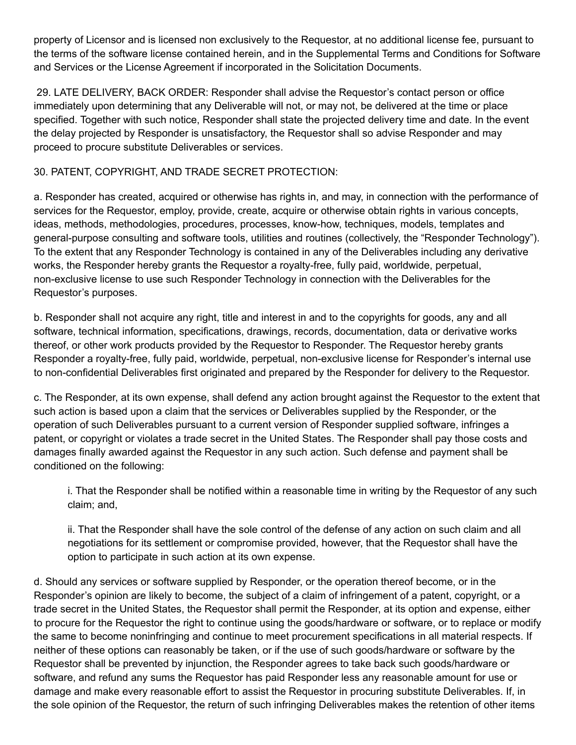property of Licensor and is licensed non exclusively to the Requestor, at no additional license fee, pursuant to the terms of the software license contained herein, and in the Supplemental Terms and Conditions for Software and Services or the License Agreement if incorporated in the Solicitation Documents.

29. LATE DELIVERY, BACK ORDER: Responder shall advise the Requestor's contact person or office immediately upon determining that any Deliverable will not, or may not, be delivered at the time or place specified. Together with such notice, Responder shall state the projected delivery time and date. In the event the delay projected by Responder is unsatisfactory, the Requestor shall so advise Responder and may proceed to procure substitute Deliverables or services.

# 30. PATENT, COPYRIGHT, AND TRADE SECRET PROTECTION:

a. Responder has created, acquired or otherwise has rights in, and may, in connection with the performance of services for the Requestor, employ, provide, create, acquire or otherwise obtain rights in various concepts, ideas, methods, methodologies, procedures, processes, know-how, techniques, models, templates and general-purpose consulting and software tools, utilities and routines (collectively, the "Responder Technology"). To the extent that any Responder Technology is contained in any of the Deliverables including any derivative works, the Responder hereby grants the Requestor a royalty-free, fully paid, worldwide, perpetual, non-exclusive license to use such Responder Technology in connection with the Deliverables for the Requestor's purposes.

b. Responder shall not acquire any right, title and interest in and to the copyrights for goods, any and all software, technical information, specifications, drawings, records, documentation, data or derivative works thereof, or other work products provided by the Requestor to Responder. The Requestor hereby grants Responder a royalty-free, fully paid, worldwide, perpetual, non-exclusive license for Responder's internal use to non-confidential Deliverables first originated and prepared by the Responder for delivery to the Requestor.

c. The Responder, at its own expense, shall defend any action brought against the Requestor to the extent that such action is based upon a claim that the services or Deliverables supplied by the Responder, or the operation of such Deliverables pursuant to a current version of Responder supplied software, infringes a patent, or copyright or violates a trade secret in the United States. The Responder shall pay those costs and damages finally awarded against the Requestor in any such action. Such defense and payment shall be conditioned on the following:

i. That the Responder shall be notified within a reasonable time in writing by the Requestor of any such claim; and,

ii. That the Responder shall have the sole control of the defense of any action on such claim and all negotiations for its settlement or compromise provided, however, that the Requestor shall have the option to participate in such action at its own expense.

d. Should any services or software supplied by Responder, or the operation thereof become, or in the Responder's opinion are likely to become, the subject of a claim of infringement of a patent, copyright, or a trade secret in the United States, the Requestor shall permit the Responder, at its option and expense, either to procure for the Requestor the right to continue using the goods/hardware or software, or to replace or modify the same to become noninfringing and continue to meet procurement specifications in all material respects. If neither of these options can reasonably be taken, or if the use of such goods/hardware or software by the Requestor shall be prevented by injunction, the Responder agrees to take back such goods/hardware or software, and refund any sums the Requestor has paid Responder less any reasonable amount for use or damage and make every reasonable effort to assist the Requestor in procuring substitute Deliverables. If, in the sole opinion of the Requestor, the return of such infringing Deliverables makes the retention of other items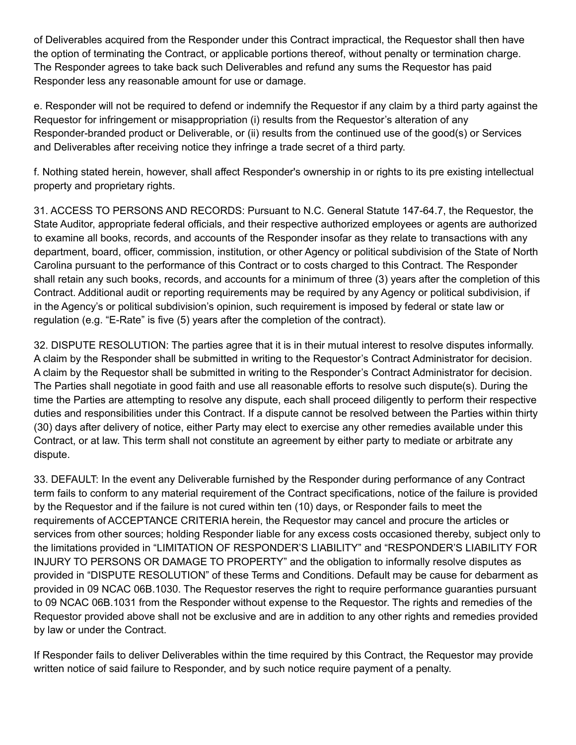of Deliverables acquired from the Responder under this Contract impractical, the Requestor shall then have the option of terminating the Contract, or applicable portions thereof, without penalty or termination charge. The Responder agrees to take back such Deliverables and refund any sums the Requestor has paid Responder less any reasonable amount for use or damage.

e. Responder will not be required to defend or indemnify the Requestor if any claim by a third party against the Requestor for infringement or misappropriation (i) results from the Requestor's alteration of any Responder-branded product or Deliverable, or (ii) results from the continued use of the good(s) or Services and Deliverables after receiving notice they infringe a trade secret of a third party.

f. Nothing stated herein, however, shall affect Responder's ownership in or rights to its pre existing intellectual property and proprietary rights.

31. ACCESS TO PERSONS AND RECORDS: Pursuant to N.C. General Statute 147-64.7, the Requestor, the State Auditor, appropriate federal officials, and their respective authorized employees or agents are authorized to examine all books, records, and accounts of the Responder insofar as they relate to transactions with any department, board, officer, commission, institution, or other Agency or political subdivision of the State of North Carolina pursuant to the performance of this Contract or to costs charged to this Contract. The Responder shall retain any such books, records, and accounts for a minimum of three (3) years after the completion of this Contract. Additional audit or reporting requirements may be required by any Agency or political subdivision, if in the Agency's or political subdivision's opinion, such requirement is imposed by federal or state law or regulation (e.g. "E-Rate" is five (5) years after the completion of the contract).

32. DISPUTE RESOLUTION: The parties agree that it is in their mutual interest to resolve disputes informally. A claim by the Responder shall be submitted in writing to the Requestor's Contract Administrator for decision. A claim by the Requestor shall be submitted in writing to the Responder's Contract Administrator for decision. The Parties shall negotiate in good faith and use all reasonable efforts to resolve such dispute(s). During the time the Parties are attempting to resolve any dispute, each shall proceed diligently to perform their respective duties and responsibilities under this Contract. If a dispute cannot be resolved between the Parties within thirty (30) days after delivery of notice, either Party may elect to exercise any other remedies available under this Contract, or at law. This term shall not constitute an agreement by either party to mediate or arbitrate any dispute.

33. DEFAULT: In the event any Deliverable furnished by the Responder during performance of any Contract term fails to conform to any material requirement of the Contract specifications, notice of the failure is provided by the Requestor and if the failure is not cured within ten (10) days, or Responder fails to meet the requirements of ACCEPTANCE CRITERIA herein, the Requestor may cancel and procure the articles or services from other sources; holding Responder liable for any excess costs occasioned thereby, subject only to the limitations provided in "LIMITATION OF RESPONDER'S LIABILITY" and "RESPONDER'S LIABILITY FOR INJURY TO PERSONS OR DAMAGE TO PROPERTY" and the obligation to informally resolve disputes as provided in "DISPUTE RESOLUTION" of these Terms and Conditions. Default may be cause for debarment as provided in 09 NCAC 06B.1030. The Requestor reserves the right to require performance guaranties pursuant to 09 NCAC 06B.1031 from the Responder without expense to the Requestor. The rights and remedies of the Requestor provided above shall not be exclusive and are in addition to any other rights and remedies provided by law or under the Contract.

If Responder fails to deliver Deliverables within the time required by this Contract, the Requestor may provide written notice of said failure to Responder, and by such notice require payment of a penalty.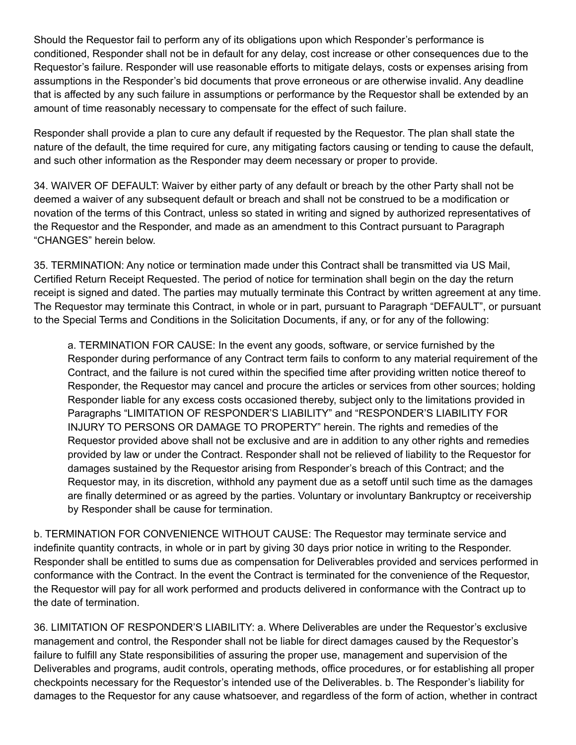Should the Requestor fail to perform any of its obligations upon which Responder's performance is conditioned, Responder shall not be in default for any delay, cost increase or other consequences due to the Requestor's failure. Responder will use reasonable efforts to mitigate delays, costs or expenses arising from assumptions in the Responder's bid documents that prove erroneous or are otherwise invalid. Any deadline that is affected by any such failure in assumptions or performance by the Requestor shall be extended by an amount of time reasonably necessary to compensate for the effect of such failure.

Responder shall provide a plan to cure any default if requested by the Requestor. The plan shall state the nature of the default, the time required for cure, any mitigating factors causing or tending to cause the default, and such other information as the Responder may deem necessary or proper to provide.

34. WAIVER OF DEFAULT: Waiver by either party of any default or breach by the other Party shall not be deemed a waiver of any subsequent default or breach and shall not be construed to be a modification or novation of the terms of this Contract, unless so stated in writing and signed by authorized representatives of the Requestor and the Responder, and made as an amendment to this Contract pursuant to Paragraph "CHANGES" herein below.

35. TERMINATION: Any notice or termination made under this Contract shall be transmitted via US Mail, Certified Return Receipt Requested. The period of notice for termination shall begin on the day the return receipt is signed and dated. The parties may mutually terminate this Contract by written agreement at any time. The Requestor may terminate this Contract, in whole or in part, pursuant to Paragraph "DEFAULT", or pursuant to the Special Terms and Conditions in the Solicitation Documents, if any, or for any of the following:

a. TERMINATION FOR CAUSE: In the event any goods, software, or service furnished by the Responder during performance of any Contract term fails to conform to any material requirement of the Contract, and the failure is not cured within the specified time after providing written notice thereof to Responder, the Requestor may cancel and procure the articles or services from other sources; holding Responder liable for any excess costs occasioned thereby, subject only to the limitations provided in Paragraphs "LIMITATION OF RESPONDER'S LIABILITY" and "RESPONDER'S LIABILITY FOR INJURY TO PERSONS OR DAMAGE TO PROPERTY" herein. The rights and remedies of the Requestor provided above shall not be exclusive and are in addition to any other rights and remedies provided by law or under the Contract. Responder shall not be relieved of liability to the Requestor for damages sustained by the Requestor arising from Responder's breach of this Contract; and the Requestor may, in its discretion, withhold any payment due as a setoff until such time as the damages are finally determined or as agreed by the parties. Voluntary or involuntary Bankruptcy or receivership by Responder shall be cause for termination.

b. TERMINATION FOR CONVENIENCE WITHOUT CAUSE: The Requestor may terminate service and indefinite quantity contracts, in whole or in part by giving 30 days prior notice in writing to the Responder. Responder shall be entitled to sums due as compensation for Deliverables provided and services performed in conformance with the Contract. In the event the Contract is terminated for the convenience of the Requestor, the Requestor will pay for all work performed and products delivered in conformance with the Contract up to the date of termination.

36. LIMITATION OF RESPONDER'S LIABILITY: a. Where Deliverables are under the Requestor's exclusive management and control, the Responder shall not be liable for direct damages caused by the Requestor's failure to fulfill any State responsibilities of assuring the proper use, management and supervision of the Deliverables and programs, audit controls, operating methods, office procedures, or for establishing all proper checkpoints necessary for the Requestor's intended use of the Deliverables. b. The Responder's liability for damages to the Requestor for any cause whatsoever, and regardless of the form of action, whether in contract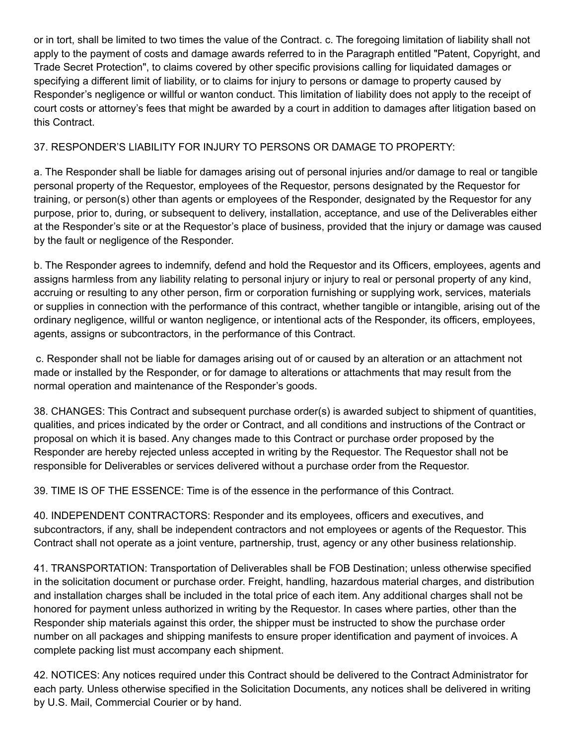or in tort, shall be limited to two times the value of the Contract. c. The foregoing limitation of liability shall not apply to the payment of costs and damage awards referred to in the Paragraph entitled "Patent, Copyright, and Trade Secret Protection", to claims covered by other specific provisions calling for liquidated damages or specifying a different limit of liability, or to claims for injury to persons or damage to property caused by Responder's negligence or willful or wanton conduct. This limitation of liability does not apply to the receipt of court costs or attorney's fees that might be awarded by a court in addition to damages after litigation based on this Contract.

## 37. RESPONDER'S LIABILITY FOR INJURY TO PERSONS OR DAMAGE TO PROPERTY:

a. The Responder shall be liable for damages arising out of personal injuries and/or damage to real or tangible personal property of the Requestor, employees of the Requestor, persons designated by the Requestor for training, or person(s) other than agents or employees of the Responder, designated by the Requestor for any purpose, prior to, during, or subsequent to delivery, installation, acceptance, and use of the Deliverables either at the Responder's site or at the Requestor's place of business, provided that the injury or damage was caused by the fault or negligence of the Responder.

b. The Responder agrees to indemnify, defend and hold the Requestor and its Officers, employees, agents and assigns harmless from any liability relating to personal injury or injury to real or personal property of any kind, accruing or resulting to any other person, firm or corporation furnishing or supplying work, services, materials or supplies in connection with the performance of this contract, whether tangible or intangible, arising out of the ordinary negligence, willful or wanton negligence, or intentional acts of the Responder, its officers, employees, agents, assigns or subcontractors, in the performance of this Contract.

c. Responder shall not be liable for damages arising out of or caused by an alteration or an attachment not made or installed by the Responder, or for damage to alterations or attachments that may result from the normal operation and maintenance of the Responder's goods.

38. CHANGES: This Contract and subsequent purchase order(s) is awarded subject to shipment of quantities, qualities, and prices indicated by the order or Contract, and all conditions and instructions of the Contract or proposal on which it is based. Any changes made to this Contract or purchase order proposed by the Responder are hereby rejected unless accepted in writing by the Requestor. The Requestor shall not be responsible for Deliverables or services delivered without a purchase order from the Requestor.

39. TIME IS OF THE ESSENCE: Time is of the essence in the performance of this Contract.

40. INDEPENDENT CONTRACTORS: Responder and its employees, officers and executives, and subcontractors, if any, shall be independent contractors and not employees or agents of the Requestor. This Contract shall not operate as a joint venture, partnership, trust, agency or any other business relationship.

41. TRANSPORTATION: Transportation of Deliverables shall be FOB Destination; unless otherwise specified in the solicitation document or purchase order. Freight, handling, hazardous material charges, and distribution and installation charges shall be included in the total price of each item. Any additional charges shall not be honored for payment unless authorized in writing by the Requestor. In cases where parties, other than the Responder ship materials against this order, the shipper must be instructed to show the purchase order number on all packages and shipping manifests to ensure proper identification and payment of invoices. A complete packing list must accompany each shipment.

42. NOTICES: Any notices required under this Contract should be delivered to the Contract Administrator for each party. Unless otherwise specified in the Solicitation Documents, any notices shall be delivered in writing by U.S. Mail, Commercial Courier or by hand.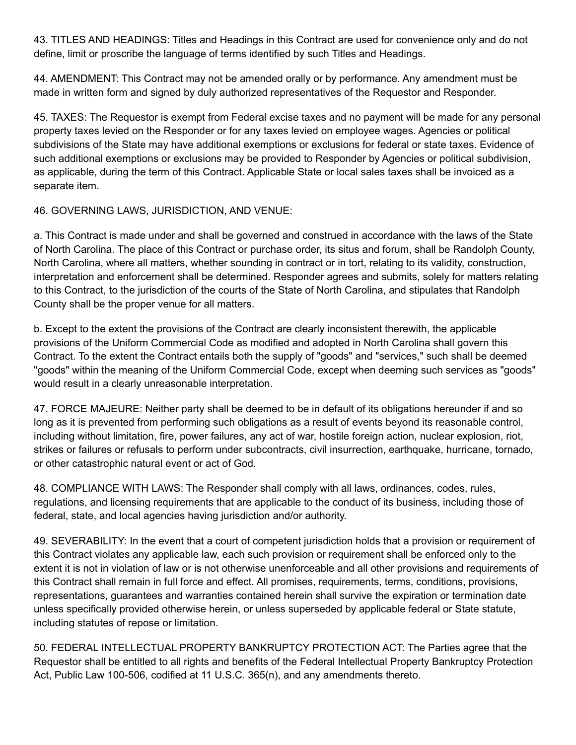43. TITLES AND HEADINGS: Titles and Headings in this Contract are used for convenience only and do not define, limit or proscribe the language of terms identified by such Titles and Headings.

44. AMENDMENT: This Contract may not be amended orally or by performance. Any amendment must be made in written form and signed by duly authorized representatives of the Requestor and Responder.

45. TAXES: The Requestor is exempt from Federal excise taxes and no payment will be made for any personal property taxes levied on the Responder or for any taxes levied on employee wages. Agencies or political subdivisions of the State may have additional exemptions or exclusions for federal or state taxes. Evidence of such additional exemptions or exclusions may be provided to Responder by Agencies or political subdivision, as applicable, during the term of this Contract. Applicable State or local sales taxes shall be invoiced as a separate item.

## 46. GOVERNING LAWS, JURISDICTION, AND VENUE:

a. This Contract is made under and shall be governed and construed in accordance with the laws of the State of North Carolina. The place of this Contract or purchase order, its situs and forum, shall be Randolph County, North Carolina, where all matters, whether sounding in contract or in tort, relating to its validity, construction, interpretation and enforcement shall be determined. Responder agrees and submits, solely for matters relating to this Contract, to the jurisdiction of the courts of the State of North Carolina, and stipulates that Randolph County shall be the proper venue for all matters.

b. Except to the extent the provisions of the Contract are clearly inconsistent therewith, the applicable provisions of the Uniform Commercial Code as modified and adopted in North Carolina shall govern this Contract. To the extent the Contract entails both the supply of "goods" and "services," such shall be deemed "goods" within the meaning of the Uniform Commercial Code, except when deeming such services as "goods" would result in a clearly unreasonable interpretation.

47. FORCE MAJEURE: Neither party shall be deemed to be in default of its obligations hereunder if and so long as it is prevented from performing such obligations as a result of events beyond its reasonable control, including without limitation, fire, power failures, any act of war, hostile foreign action, nuclear explosion, riot, strikes or failures or refusals to perform under subcontracts, civil insurrection, earthquake, hurricane, tornado, or other catastrophic natural event or act of God.

48. COMPLIANCE WITH LAWS: The Responder shall comply with all laws, ordinances, codes, rules, regulations, and licensing requirements that are applicable to the conduct of its business, including those of federal, state, and local agencies having jurisdiction and/or authority.

49. SEVERABILITY: In the event that a court of competent jurisdiction holds that a provision or requirement of this Contract violates any applicable law, each such provision or requirement shall be enforced only to the extent it is not in violation of law or is not otherwise unenforceable and all other provisions and requirements of this Contract shall remain in full force and effect. All promises, requirements, terms, conditions, provisions, representations, guarantees and warranties contained herein shall survive the expiration or termination date unless specifically provided otherwise herein, or unless superseded by applicable federal or State statute, including statutes of repose or limitation.

50. FEDERAL INTELLECTUAL PROPERTY BANKRUPTCY PROTECTION ACT: The Parties agree that the Requestor shall be entitled to all rights and benefits of the Federal Intellectual Property Bankruptcy Protection Act, Public Law 100-506, codified at 11 U.S.C. 365(n), and any amendments thereto.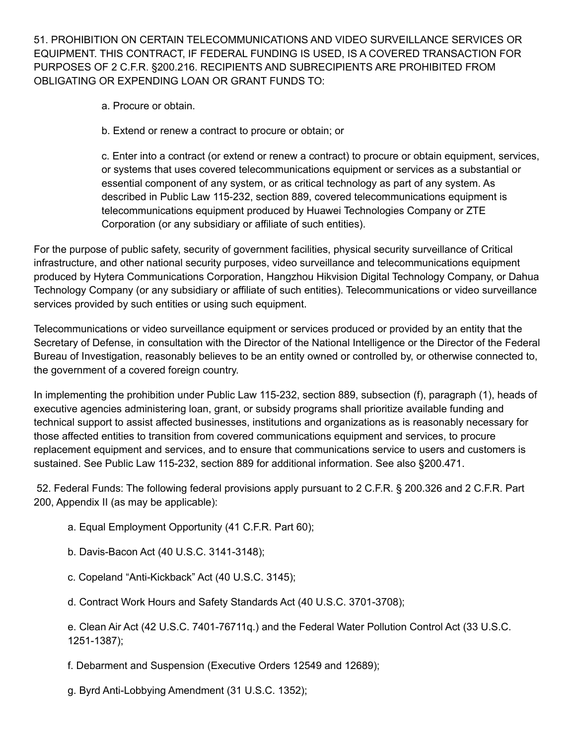51. PROHIBITION ON CERTAIN TELECOMMUNICATIONS AND VIDEO SURVEILLANCE SERVICES OR EQUIPMENT. THIS CONTRACT, IF FEDERAL FUNDING IS USED, IS A COVERED TRANSACTION FOR PURPOSES OF 2 C.F.R. §200.216. RECIPIENTS AND SUBRECIPIENTS ARE PROHIBITED FROM OBLIGATING OR EXPENDING LOAN OR GRANT FUNDS TO:

- a. Procure or obtain.
- b. Extend or renew a contract to procure or obtain; or

c. Enter into a contract (or extend or renew a contract) to procure or obtain equipment, services, or systems that uses covered telecommunications equipment or services as a substantial or essential component of any system, or as critical technology as part of any system. As described in Public Law 115-232, section 889, covered telecommunications equipment is telecommunications equipment produced by Huawei Technologies Company or ZTE Corporation (or any subsidiary or affiliate of such entities).

For the purpose of public safety, security of government facilities, physical security surveillance of Critical infrastructure, and other national security purposes, video surveillance and telecommunications equipment produced by Hytera Communications Corporation, Hangzhou Hikvision Digital Technology Company, or Dahua Technology Company (or any subsidiary or affiliate of such entities). Telecommunications or video surveillance services provided by such entities or using such equipment.

Telecommunications or video surveillance equipment or services produced or provided by an entity that the Secretary of Defense, in consultation with the Director of the National Intelligence or the Director of the Federal Bureau of Investigation, reasonably believes to be an entity owned or controlled by, or otherwise connected to, the government of a covered foreign country.

In implementing the prohibition under Public Law 115-232, section 889, subsection (f), paragraph (1), heads of executive agencies administering loan, grant, or subsidy programs shall prioritize available funding and technical support to assist affected businesses, institutions and organizations as is reasonably necessary for those affected entities to transition from covered communications equipment and services, to procure replacement equipment and services, and to ensure that communications service to users and customers is sustained. See Public Law 115-232, section 889 for additional information. See also §200.471.

52. Federal Funds: The following federal provisions apply pursuant to 2 C.F.R. § 200.326 and 2 C.F.R. Part 200, Appendix II (as may be applicable):

- a. Equal Employment Opportunity (41 C.F.R. Part 60);
- b. Davis-Bacon Act (40 U.S.C. 3141-3148);
- c. Copeland "Anti-Kickback" Act (40 U.S.C. 3145);
- d. Contract Work Hours and Safety Standards Act (40 U.S.C. 3701-3708);

e. Clean Air Act (42 U.S.C. 7401-76711q.) and the Federal Water Pollution Control Act (33 U.S.C. 1251-1387);

f. Debarment and Suspension (Executive Orders 12549 and 12689);

g. Byrd Anti-Lobbying Amendment (31 U.S.C. 1352);